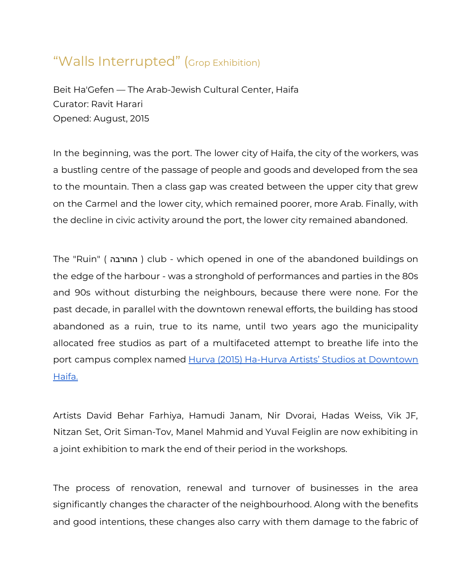## "Walls Interrupted" (Grop Exhibition)

Beit Ha'Gefen — The Arab-Jewish Cultural Center, Haifa Curator: Ravit Harari Opened: August, 2015

In the beginning, was the port. The lower city of Haifa, the city of the workers, was a bustling centre of the passage of people and goods and developed from the sea to the mountain. Then a class gap was created between the upper city that grew on the Carmel and the lower city, which remained poorer, more Arab. Finally, with the decline in civic activity around the port, the lower city remained abandoned.

The "Ruin" ( החורבה ( club - which opened in one of the abandoned buildings on the edge of the harbour - was a stronghold of performances and parties in the 80s and 90s without disturbing the neighbours, because there were none. For the past decade, in parallel with the downtown renewal efforts, the building has stood abandoned as a ruin, true to its name, until two years ago the municipality allocated free studios as part of a multifaceted attempt to breathe life into the port campus complex named Hurva (2015) Ha-Hurva Artists' Studios at [Downtown](https://www.beit-hagefen.com/BeitHagefenSubCategoryID.aspx?BeitHagefenSubCategoryId=62&BeitHagefenCategoryId=4&lang=2) [Haifa.](https://www.beit-hagefen.com/BeitHagefenSubCategoryID.aspx?BeitHagefenSubCategoryId=62&BeitHagefenCategoryId=4&lang=2)

Artists David Behar Farhiya, Hamudi Janam, Nir Dvorai, Hadas Weiss, Vik JF, Nitzan Set, Orit Siman-Tov, Manel Mahmid and Yuval Feiglin are now exhibiting in a joint exhibition to mark the end of their period in the workshops.

The process of renovation, renewal and turnover of businesses in the area significantly changes the character of the neighbourhood. Along with the benefits and good intentions, these changes also carry with them damage to the fabric of